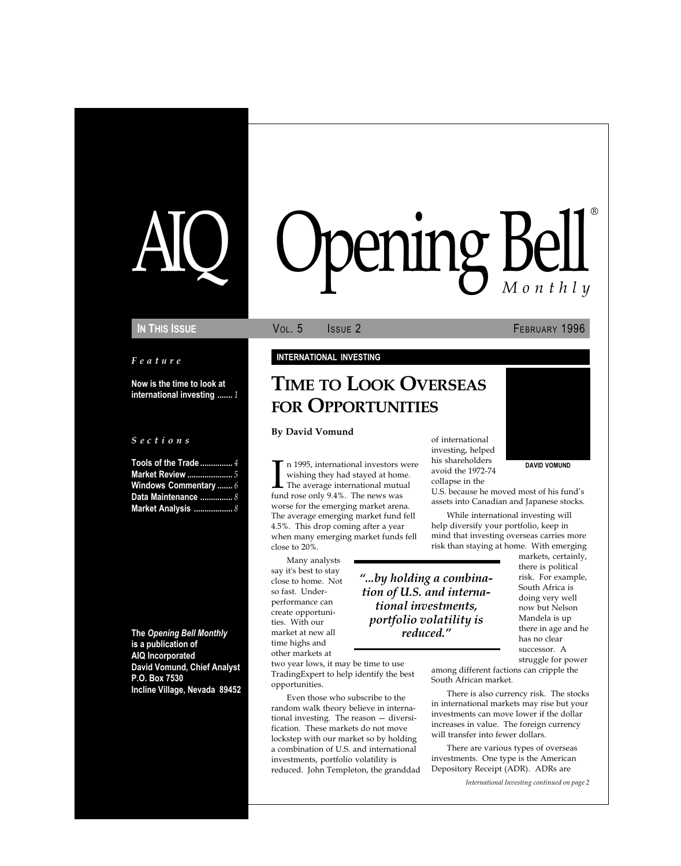# pening Bell ®

#### Feature

Now is the time to look at international investing ....... 1

#### S e c t i o n s

Tools of the Trade ........ Market Review ..................... 5 Windows Commentary ....... 6 Data Maintenance ................ 8 Market Analysis ............

The Opening Bell Monthly is a publication of AIQ Incorporated David Vomund, Chief Analyst P.O. Box 7530 Incline Village, Nevada 89452

#### IN THIS ISSUE **VOL. 5** ISSUE 2 **FEBRUARY 1996**

#### INTERNATIONAL INVESTING

# TIME TO LOOK OVERSEAS FOR OPPORTUNITIES

#### By David Vomund

In 1995, international investors visiting they had stayed at hom<br>The average international mutu<br>fund rose only 9.4%. The news was n 1995, international investors were wishing they had stayed at home. The average international mutual worse for the emerging market arena. The average emerging market fund fell 4.5%. This drop coming after a year when many emerging market funds fell close to 20%.

Many analysts say it's best to stay close to home. Not so fast. Underperformance can create opportunities. With our market at new all time highs and other markets at

...by holding a combination of U.S. and international investments, portfolio volatility is reduced.

two year lows, it may be time to use TradingExpert to help identify the best opportunities.

Even those who subscribe to the random walk theory believe in international investing. The reason  $-$  diversification. These markets do not move lockstep with our market so by holding a combination of U.S. and international investments, portfolio volatility is reduced. John Templeton, the granddad of international investing, helped his shareholders avoid the 1972-74 collapse in the

U.S. because he moved most of his fund's assets into Canadian and Japanese stocks.

While international investing will help diversify your portfolio, keep in mind that investing overseas carries more risk than staying at home. With emerging

markets, certainly, there is political risk. For example, South Africa is doing very well now but Nelson Mandela is up there in age and he has no clear successor. A struggle for power

among different factions can cripple the South African market.

There is also currency risk. The stocks in international markets may rise but your investments can move lower if the dollar increases in value. The foreign currency will transfer into fewer dollars.

There are various types of overseas investments. One type is the American Depository Receipt (ADR). ADRs are

International Investing continued on page 2

### DAVID VOMUND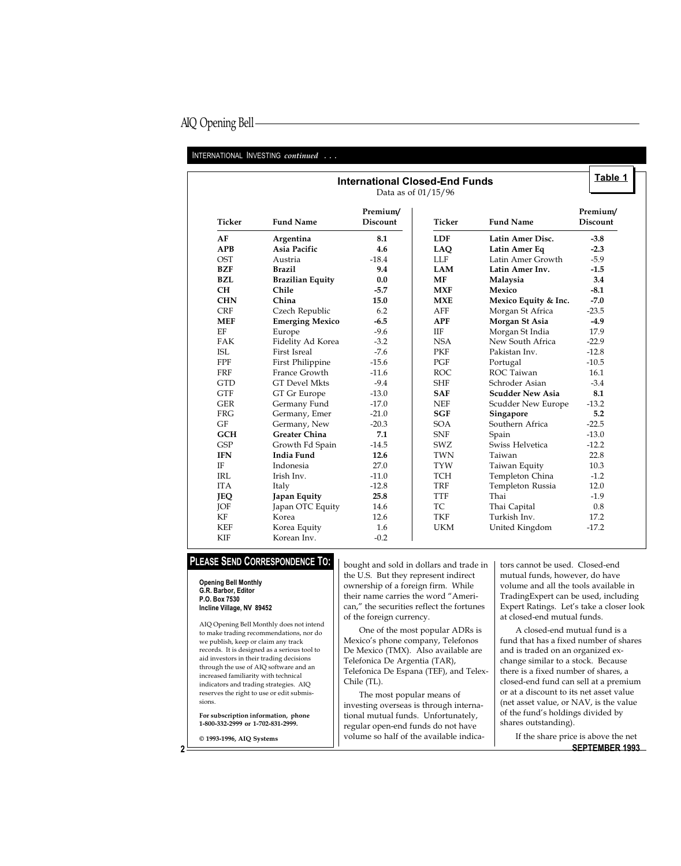## AIQ Opening Bell

#### INTERNATIONAL INVESTING continued ...

| <b>International Closed-End Funds</b><br>Data as of 01/15/96 |                         |                             |                      |                         |                             |  |  |
|--------------------------------------------------------------|-------------------------|-----------------------------|----------------------|-------------------------|-----------------------------|--|--|
| <b>Ticker</b>                                                | <b>Fund Name</b>        | Premium/<br><b>Discount</b> | <b>Ticker</b>        | <b>Fund Name</b>        | Premium/<br><b>Discount</b> |  |  |
| AF                                                           | Argentina               | 8.1                         | <b>LDF</b>           | Latin Amer Disc.        | $-3.8$                      |  |  |
| <b>APB</b>                                                   | Asia Pacific            | 4.6                         | LAQ                  | Latin Amer Eq           | $-2.3$                      |  |  |
| <b>OST</b>                                                   | Austria                 | $-18.4$                     | LLF                  | Latin Amer Growth       | $-5.9$                      |  |  |
| <b>BZF</b>                                                   | <b>Brazil</b>           | 9.4                         | <b>LAM</b>           | Latin Amer Inv.         | $-1.5$                      |  |  |
| <b>BZL</b>                                                   | <b>Brazilian Equity</b> | 0.0                         | <b>MF</b>            | Malaysia                | 3.4                         |  |  |
| <b>CH</b>                                                    | Chile                   | $-5.7$                      | <b>MXF</b>           | Mexico                  | $-8.1$                      |  |  |
| <b>CHN</b>                                                   | China                   | 15.0                        | <b>MXE</b>           | Mexico Equity & Inc.    | $-7.0$                      |  |  |
| <b>CRF</b>                                                   | Czech Republic          | 6.2                         | AFF                  | Morgan St Africa        | $-23.5$                     |  |  |
| <b>MEF</b>                                                   | <b>Emerging Mexico</b>  | $-6.5$                      | <b>APF</b>           | Morgan St Asia          | $-4.9$                      |  |  |
| EF                                                           | Europe                  | $-9.6$                      | IIF                  | Morgan St India         | 17.9                        |  |  |
| <b>FAK</b>                                                   | Fidelity Ad Korea       | $-3.2$                      | <b>NSA</b>           | New South Africa        | $-22.9$                     |  |  |
| <b>ISL</b>                                                   | First Isreal            | $-7.6$                      | <b>PKF</b>           | Pakistan Inv.           | $-12.8$                     |  |  |
| FPF                                                          | First Philippine        | $-15.6$                     | PGF                  | Portugal                | $-10.5$                     |  |  |
| <b>FRF</b>                                                   | France Growth           | $-11.6$                     | <b>ROC</b>           | ROC Taiwan              | 16.1                        |  |  |
| <b>GTD</b>                                                   | <b>GT</b> Devel Mkts    | $-9.4$                      | <b>SHF</b>           | Schroder Asian          | $-3.4$                      |  |  |
| <b>GTF</b>                                                   | GT Gr Europe            | $-13.0$                     | <b>SAF</b>           | <b>Scudder New Asia</b> | 8.1                         |  |  |
| <b>GER</b>                                                   | Germany Fund            | $-17.0$                     | $\operatorname{NEF}$ | Scudder New Europe      | $-13.2$                     |  |  |
| <b>FRG</b>                                                   | Germany, Emer           | $-21.0$                     | <b>SGF</b>           | Singapore               | 5.2                         |  |  |
| GF                                                           | Germany, New            | $-20.3$                     | <b>SOA</b>           | Southern Africa         | $-22.5$                     |  |  |
| <b>GCH</b>                                                   | <b>Greater China</b>    | 7.1                         | <b>SNF</b>           | Spain                   | $-13.0$                     |  |  |
| <b>GSP</b>                                                   | Growth Fd Spain         | $-14.5$                     | <b>SWZ</b>           | Swiss Helvetica         | $-12.2$                     |  |  |
| <b>IFN</b>                                                   | India Fund              | 12.6                        | <b>TWN</b>           | Taiwan                  | 22.8                        |  |  |
| IF                                                           | Indonesia               | 27.0                        | <b>TYW</b>           | Taiwan Equity           | 10.3                        |  |  |
| <b>IRL</b>                                                   | Irish Inv.              | $-11.0$                     | <b>TCH</b>           | Templeton China         | $-1.2$                      |  |  |
| <b>ITA</b>                                                   | Italy                   | $-12.8$                     | <b>TRF</b>           | Templeton Russia        | 12.0                        |  |  |
| <b>JEQ</b>                                                   | Japan Equity            | 25.8                        | <b>TTF</b>           | Thai                    | $-1.9$                      |  |  |
| JOF                                                          | Japan OTC Equity        | 14.6                        | <b>TC</b>            | Thai Capital            | 0.8                         |  |  |
| $\mathbf{KF}$                                                | Korea                   | 12.6                        | <b>TKF</b>           | Turkish Inv.            | 17.2                        |  |  |
| <b>KEF</b>                                                   | Korea Equity            | 1.6                         | <b>UKM</b>           | United Kingdom          | $-17.2$                     |  |  |
| <b>KIF</b>                                                   | Korean Inv.             | $-0.2$                      |                      |                         |                             |  |  |

## PLEASE SEND CORRESPONDENCE TO:

#### Opening Bell Monthly G.R. Barbor, Editor P.O. Box 7530 Incline Village, NV 89452

AIQ Opening Bell Monthly does not intend to make trading recommendations, nor do we publish, keep or claim any track records. It is designed as a serious tool to aid investors in their trading decisions through the use of AIQ software and an increased familiarity with technical indicators and trading strategies. AIQ reserves the right to use or edit submissions.

For subscription information, phone 1-800-332-2999 or 1-702-831-2999.

© 1993-1996, AIQ Systems

bought and sold in dollars and trade in the U.S. But they represent indirect ownership of a foreign firm. While their name carries the word "American," the securities reflect the fortunes of the foreign currency.

One of the most popular ADRs is Mexico's phone company, Telefonos De Mexico (TMX). Also available are Telefonica De Argentia (TAR), Telefonica De Espana (TEF), and Telex-Chile (TL).

The most popular means of investing overseas is through international mutual funds. Unfortunately, regular open-end funds do not have volume so half of the available indicators cannot be used. Closed-end mutual funds, however, do have volume and all the tools available in TradingExpert can be used, including Expert Ratings. Let's take a closer look at closed-end mutual funds.

A closed-end mutual fund is a fund that has a fixed number of shares and is traded on an organized exchange similar to a stock. Because there is a fixed number of shares, a closed-end fund can sell at a premium or at a discount to its net asset value (net asset value, or NAV, is the value of the fund's holdings divided by shares outstanding).

2 If the share price is above the net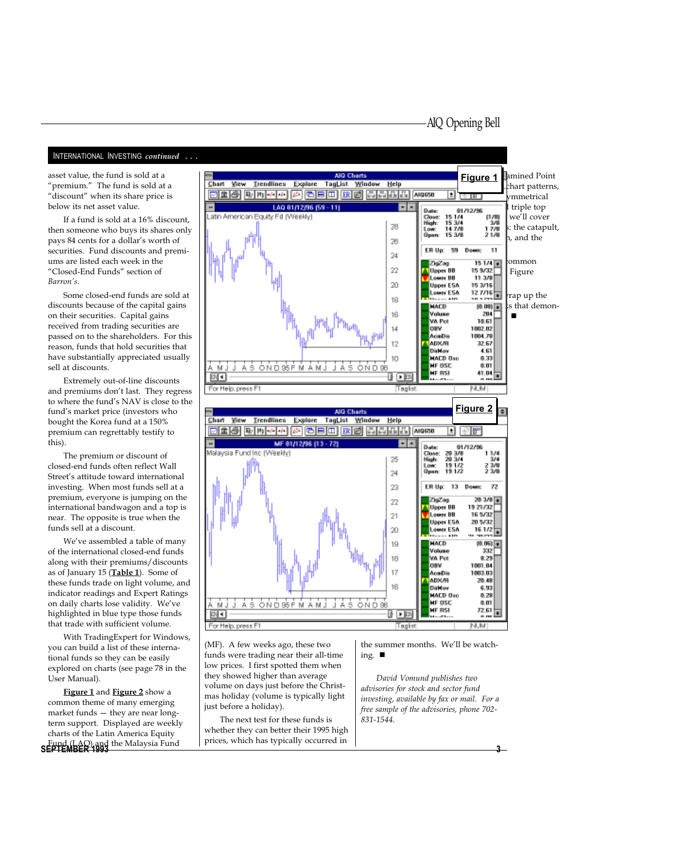AIQ Opening Bell

INTERNATIONAL INVESTING *continued* ...

"premium." The fund is sold at a "discount" when its share price is below its net asset value.

If a fund is sold at a 16% discount, then someone who buys its shares only pays 84 cents for a dollar's worth of securities. Fund discounts and premiums are listed each week in the "Closed-End Funds" section of Barron's.

Some closed-end funds are sold at discounts because of the capital gains on their securities. Capital gains received from trading securities are passed on to the shareholders. For this reason, funds that hold securities that have substantially appreciated usually sell at discounts.

Extremely out-of-line discounts and premiums don't last. They regress to where the fund's NAV is close to the fund's market price (investors who bought the Korea fund at a 150% premium can regrettably testify to this).

The premium or discount of closed-end funds often reflect Wall Street's attitude toward international investing. When most funds sell at a premium, everyone is jumping on the international bandwagon and a top is near. The opposite is true when the funds sell at a discount.

We've assembled a table of many of the international closed-end funds along with their premiums/discounts as of January 15 (Table 1). Some of these funds trade on light volume, and indicator readings and Expert Ratings on daily charts lose validity. We've highlighted in blue type those funds that trade with sufficient volume.

With TradingExpert for Windows, you can build a list of these international funds so they can be easily explored on charts (see page 78 in the User Manual).

SEPTEMBER 1993<br>SEPTEMBER 1993 **3** 3 Figure 1 and Figure 2 show a common theme of many emerging market funds  $-$  they are near longterm support. Displayed are weekly charts of the Latin America Equity



(MF). A few weeks ago, these two funds were trading near their all-time low prices. I first spotted them when they showed higher than average volume on days just before the Christmas holiday (volume is typically light just before a holiday).

The next test for these funds is whether they can better their 1995 high prices, which has typically occurred in the summer months. We'll be watching.  $\blacksquare$ 

David Vomund publishes two advisories for stock and sector fund investing, available by fax or mail. For a free sample of the advisories, phone 702- 831-1544.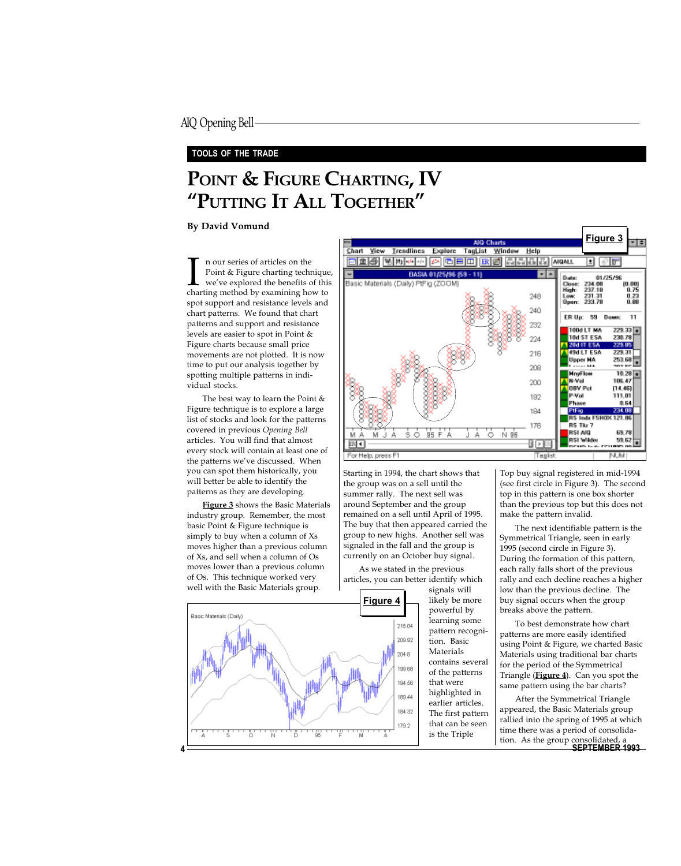#### TOOLS OF THE TRADE

# POINT & FIGURE CHARTING, IV "PUTTING IT ALL TOGETHER"

#### By David Vomund

In our series of articles on the<br>Point & Figure charting technique<br>we've explored the benefits of thi<br>charting method by examining how to n our series of articles on the Point & Figure charting technique, we've explored the benefits of this spot support and resistance levels and chart patterns. We found that chart patterns and support and resistance levels are easier to spot in Point & Figure charts because small price movements are not plotted. It is now time to put our analysis together by spotting multiple patterns in individual stocks.

The best way to learn the Point & Figure technique is to explore a large list of stocks and look for the patterns covered in previous Opening Bell articles. You will find that almost every stock will contain at least one of the patterns we've discussed. When you can spot them historically, you will better be able to identify the patterns as they are developing.

Figure 3 shows the Basic Materials industry group. Remember, the most basic Point & Figure technique is simply to buy when a column of Xs moves higher than a previous column of Xs, and sell when a column of Os moves lower than a previous column of Os. This technique worked very well with the Basic Materials group.





Starting in 1994, the chart shows that the group was on a sell until the summer rally. The next sell was around September and the group remained on a sell until April of 1995. The buy that then appeared carried the group to new highs. Another sell was signaled in the fall and the group is currently on an October buy signal.

As we stated in the previous articles, you can better identify which

> signals will likely be more powerful by learning some pattern recognition. Basic Materials contains several of the patterns that were highlighted in earlier articles. The first pattern that can be seen is the Triple

Top buy signal registered in mid-1994 (see first circle in Figure 3). The second top in this pattern is one box shorter than the previous top but this does not make the pattern invalid.

The next identifiable pattern is the Symmetrical Triangle, seen in early 1995 (second circle in Figure 3). During the formation of this pattern, each rally falls short of the previous rally and each decline reaches a higher low than the previous decline. The buy signal occurs when the group breaks above the pattern.

To best demonstrate how chart patterns are more easily identified using Point & Figure, we charted Basic Materials using traditional bar charts for the period of the Symmetrical Triangle (Figure 4). Can you spot the same pattern using the bar charts?

4 SEPTEMBER 1993 After the Symmetrical Triangle appeared, the Basic Materials group rallied into the spring of 1995 at which time there was a period of consolidation. As the group c<u>onsolidated</u>, a

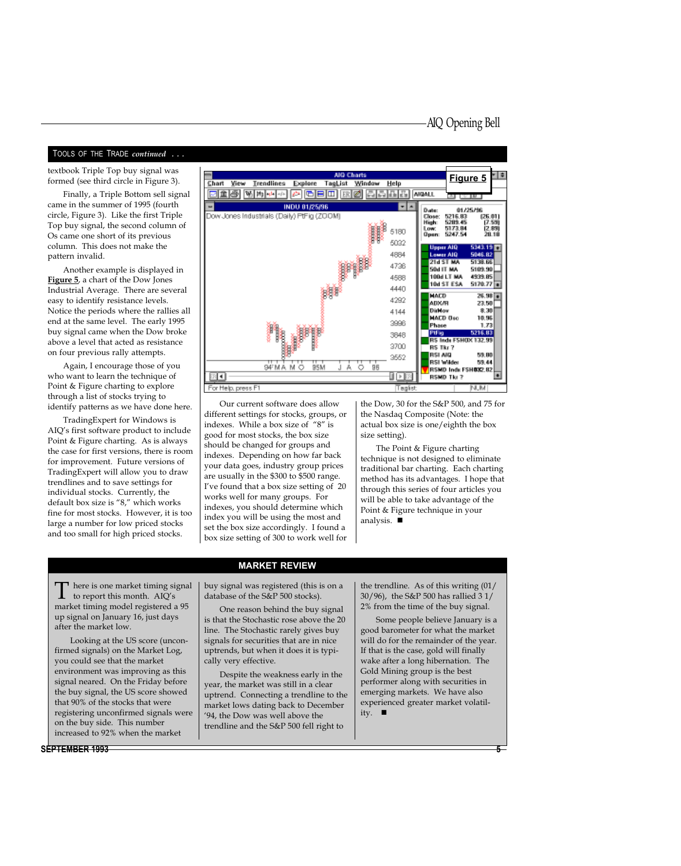#### TOOLS OF THE TRADE continued . . .

textbook Triple Top buy signal was formed (see third circle in Figure 3).

Finally, a Triple Bottom sell signal came in the summer of 1995 (fourth circle, Figure 3). Like the first Triple Top buy signal, the second column of Os came one short of its previous column. This does not make the pattern invalid.

Another example is displayed in Figure 5, a chart of the Dow Jones Industrial Average. There are several easy to identify resistance levels. Notice the periods where the rallies all end at the same level. The early 1995 buy signal came when the Dow broke above a level that acted as resistance on four previous rally attempts.

Again, I encourage those of you who want to learn the technique of Point & Figure charting to explore through a list of stocks trying to identify patterns as we have done here.

TradingExpert for Windows is AIQ's first software product to include Point & Figure charting. As is always the case for first versions, there is room for improvement. Future versions of TradingExpert will allow you to draw trendlines and to save settings for individual stocks. Currently, the default box size is "8," which works fine for most stocks. However, it is too large a number for low priced stocks and too small for high priced stocks.



Our current software does allow different settings for stocks, groups, or indexes. While a box size of "8" is good for most stocks, the box size should be changed for groups and indexes. Depending on how far back your data goes, industry group prices are usually in the \$300 to \$500 range. Ive found that a box size setting of 20 works well for many groups. For indexes, you should determine which index you will be using the most and set the box size accordingly. I found a box size setting of 300 to work well for

the Dow, 30 for the S&P 500, and 75 for the Nasdaq Composite (Note: the actual box size is one/eighth the box size setting).

The Point & Figure charting technique is not designed to eliminate traditional bar charting. Each charting method has its advantages. I hope that through this series of four articles you will be able to take advantage of the Point & Figure technique in your analysis.  $\blacksquare$ 

 $\Gamma$  here is one market timing signal<br>to report this month. AIQ's<br>monetat timing model use is trued a  $05$ market timing model registered a 95 up signal on January 16, just days after the market low.

Looking at the US score (unconfirmed signals) on the Market Log, you could see that the market environment was improving as this signal neared. On the Friday before the buy signal, the US score showed that 90% of the stocks that were registering unconfirmed signals were on the buy side. This number increased to 92% when the market

SEPTEMBER 1993

buy signal was registered (this is on a database of the S&P 500 stocks).

MARKET REVIEW

One reason behind the buy signal is that the Stochastic rose above the 20 line. The Stochastic rarely gives buy signals for securities that are in nice uptrends, but when it does it is typically very effective.

Despite the weakness early in the year, the market was still in a clear uptrend. Connecting a trendline to the market lows dating back to December 94, the Dow was well above the trendline and the S&P 500 fell right to

the trendline. As of this writing (01/ 30/96), the S&P 500 has rallied 3 1/ 2% from the time of the buy signal.

Some people believe January is a good barometer for what the market will do for the remainder of the year. If that is the case, gold will finally wake after a long hibernation. The Gold Mining group is the best performer along with securities in emerging markets. We have also experienced greater market volatility.  $\blacksquare$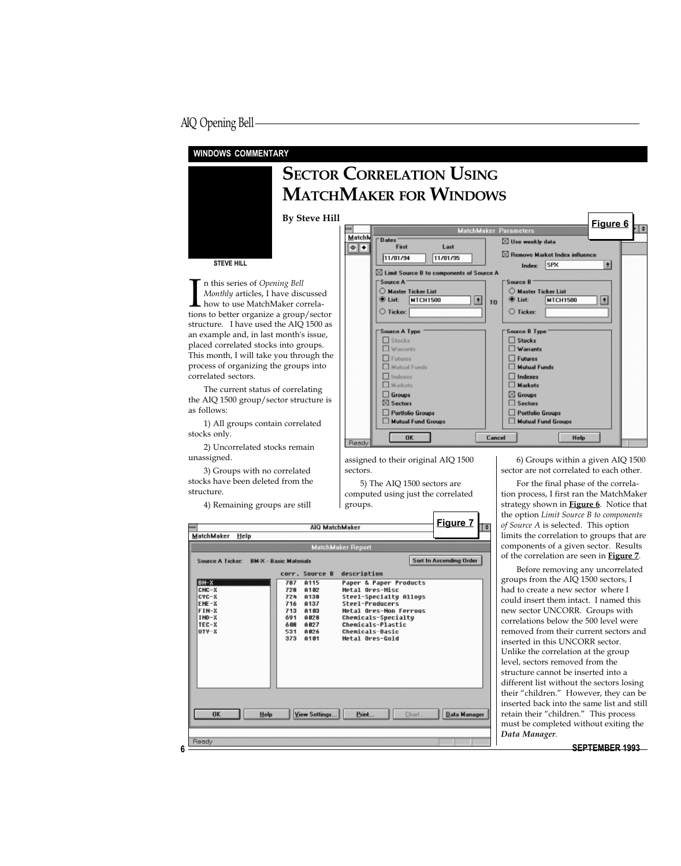### AIQ Opening Bell

#### WINDOWS COMMENTARY

# **SECTOR CORRELATION USING** MATCHMAKER FOR WINDOWS

STEVE HILL

In this series of *Opening Bell*<br> *Monthly* articles, I have discussed<br>
how to use MatchMaker correla-<br>
tions to better organize a group/sector n this series of Opening Bell Monthly articles, I have discussed how to use MatchMaker correlastructure. I have used the AIQ 1500 as an example and, in last month's issue, placed correlated stocks into groups. This month, I will take you through the process of organizing the groups into correlated sectors.

The current status of correlating the AIQ 1500 group/sector structure is as follows:

1) All groups contain correlated stocks only.

2) Uncorrelated stocks remain unassigned.

3) Groups with no correlated stocks have been deleted from the structure.

4) Remaining groups are still

#### By Steve Hill<br>
Figure 6 Match? Date: ⊠ Use weekly data Last  $\left| \bullet \right| \bullet$ First  $\boxtimes$  Remove Market Index influ 11/01/94  $11/01/95$ Index: SPX  $\pmb{\pm}$  $\boxtimes$  Limit Source B to components of Source A Source A Source B  $\bigcirc$  Master Ticker List  $\bigcirc$  Master Ticker List **O** List **MTCH1500**  $\boxed{\pm}$ *O* List: **MTCH1500** 团 TD.  $\bigcirc$  Ticker:  $\bigcirc$  Ticker: Source B Typ Source A Typ  $\Box$  Stocks  $\square$  Stocks  $\square$  Warrants  $\square$  Warrants  $\Box$  Futures  $\square$  Futures  $\Box$  Mutual Funds  $\Box$  Mutual Funds  $\Box$  Indexes  $\Box$  Indexes  $\square$  Markets  $\overline{\Box}$  Markets  $\square$  Groups  $\boxtimes$  Groups ⊠ Sectors  $\Box$  Sectors Portfolio Groups Portfolio Groups Mutual Fund Group Mutual Fund Group  $0K$ Cancel Help Reach

┓

assigned to their original AIQ 1500 sectors.

5) The AIQ 1500 sectors are computed using just the correlated groups.

| <b>MatchMaker Report</b><br><b>Sort In Ascending Order</b><br><b>Source A Ticker:</b><br><b>BM-X - Basic Materials</b><br>description<br>corr. Source B<br>A115<br>Paper & Paper Products<br>BM-X<br>787<br>$CNC-X$<br>Metal Ores-Misc<br>A102<br>728<br>$CVC-X$<br><b>A138</b><br>Steel-Specialty Allous<br>724<br>ENE-X<br>A137<br>Steel-Producers<br>716<br>$FIM-X$<br>Metal Ores-Non Ferrous<br>A103<br>713<br>$IMD-X$<br>A028<br>Chemicals-Specialty<br>691<br>$TEC-X$<br>A827<br><b>Chemicals-Plastic</b><br>608<br><b>Chemicals-Basic</b><br>UTY-X<br>A026<br>531<br>373<br>Metal Ores-Gold<br>A181 | limits the correlation to groups that are                                                                                                                                                                                                                                                                                                                                                                                                                                                                                                                                                                                                                                                                            |
|------------------------------------------------------------------------------------------------------------------------------------------------------------------------------------------------------------------------------------------------------------------------------------------------------------------------------------------------------------------------------------------------------------------------------------------------------------------------------------------------------------------------------------------------------------------------------------------------------------|----------------------------------------------------------------------------------------------------------------------------------------------------------------------------------------------------------------------------------------------------------------------------------------------------------------------------------------------------------------------------------------------------------------------------------------------------------------------------------------------------------------------------------------------------------------------------------------------------------------------------------------------------------------------------------------------------------------------|
|                                                                                                                                                                                                                                                                                                                                                                                                                                                                                                                                                                                                            | components of a given sector. Results                                                                                                                                                                                                                                                                                                                                                                                                                                                                                                                                                                                                                                                                                |
| View Settings<br>Data Manager<br>Print<br>Help<br>Chart<br><b>OK</b>                                                                                                                                                                                                                                                                                                                                                                                                                                                                                                                                       | of the correlation are seen in Figure 7.<br>Before removing any uncorrelated<br>groups from the AIQ 1500 sectors, I<br>had to create a new sector where I<br>could insert them intact. I named this<br>new sector UNCORR. Groups with<br>correlations below the 500 level were<br>removed from their current sectors and<br>inserted in this UNCORR sector.<br>Unlike the correlation at the group<br>level, sectors removed from the<br>structure cannot be inserted into a<br>different list without the sectors losing<br>their "children." However, they can be<br>inserted back into the same list and still<br>retain their "children." This process<br>must be completed without exiting the<br>Data Manager. |
| Ready                                                                                                                                                                                                                                                                                                                                                                                                                                                                                                                                                                                                      | <b>SEPTEMBER 1993</b>                                                                                                                                                                                                                                                                                                                                                                                                                                                                                                                                                                                                                                                                                                |

6) Groups within a given AIQ 1500 sector are not correlated to each other.

For the final phase of the correlation process, I first ran the MatchMaker strategy shown in **Figure 6**. Notice that the option Limit Source B to components of Source A is selected. This option limits the correlation to groups that are components of a given sector. Results of the correlation are seen in **Figure 7**.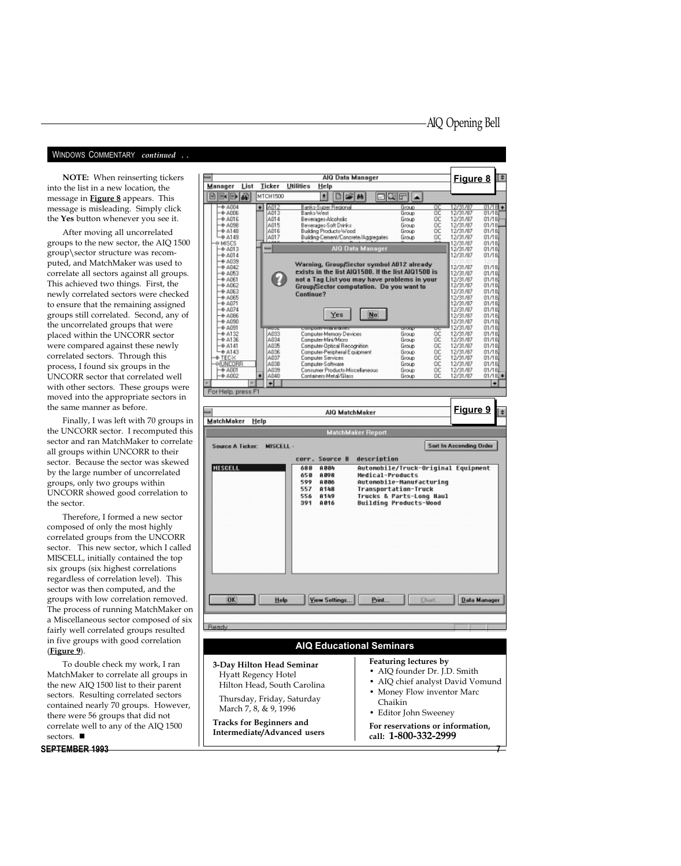#### WINDOWS COMMENTARY continued ..

into the list in a new location, the message in **Figure 8** appears. This message is misleading. Simply click the Yes button whenever you see it.

After moving all uncorrelated groups to the new sector, the AIQ 1500 group\sector structure was recomputed, and MatchMaker was used to correlate all sectors against all groups. This achieved two things. First, the newly correlated sectors were checked to ensure that the remaining assigned groups still correlated. Second, any of the uncorrelated groups that were placed within the UNCORR sector were compared against these newly correlated sectors. Through this process, I found six groups in the UNCORR sector that correlated well with other sectors. These groups were moved into the appropriate sectors in the same manner as before.

Finally, I was left with 70 groups in the UNCORR sector. I recomputed this sector and ran MatchMaker to correlate all groups within UNCORR to their sector. Because the sector was skewed by the large number of uncorrelated groups, only two groups within UNCORR showed good correlation to the sector.

Therefore, I formed a new sector composed of only the most highly correlated groups from the UNCORR sector. This new sector, which I called MISCELL, initially contained the top six groups (six highest correlations regardless of correlation level). This sector was then computed, and the groups with low correlation removed. The process of running MatchMaker on a Miscellaneous sector composed of six fairly well correlated groups resulted in five groups with good correlation (Figure 9).

To double check my work, I ran MatchMaker to correlate all groups in the new AIQ 1500 list to their parent sectors. Resulting correlated sectors contained nearly 70 groups. However, there were 56 groups that did not correlate well to any of the AIQ 1500 sectors.  $\blacksquare$ 

SEPTEMBER 1993